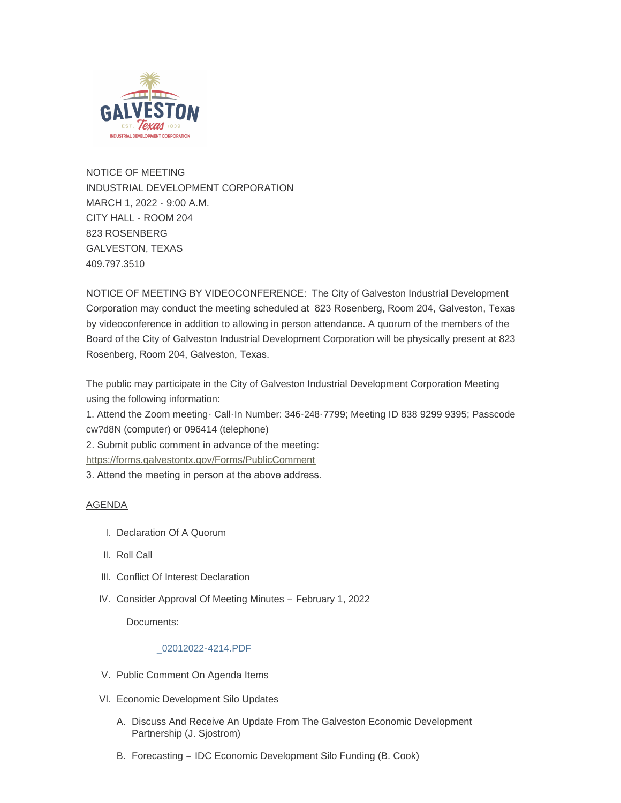

NOTICE OF MEETING INDUSTRIAL DEVELOPMENT CORPORATION MARCH 1, 2022 - 9:00 A.M. CITY HALL - ROOM 204 823 ROSENBERG GALVESTON, TEXAS 409.797.3510

NOTICE OF MEETING BY VIDEOCONFERENCE: The City of Galveston Industrial Development Corporation may conduct the meeting scheduled at 823 Rosenberg, Room 204, Galveston, Texas by videoconference in addition to allowing in person attendance. A quorum of the members of the Board of the City of Galveston Industrial Development Corporation will be physically present at 823 Rosenberg, Room 204, Galveston, Texas.

The public may participate in the City of Galveston Industrial Development Corporation Meeting using the following information:

1. Attend the Zoom meeting- Call-In Number: 346-248-7799; Meeting ID 838 9299 9395; Passcode cw?d8N (computer) or 096414 (telephone)

[2. Submit public comment in advance of the meeting](https://forms.galvestontx.gov/Forms/PublicComment):

https://forms.galvestontx.gov/Forms/PublicComment

3. Attend the meeting in person at the above address.

# AGENDA

- I. Declaration Of A Quorum
- II. Roll Call
- III. Conflict Of Interest Declaration
- IV. Consider Approval Of Meeting Minutes February 1, 2022

Documents:

### [\\_02012022-4214.PDF](https://www.galvestontx.gov/AgendaCenter/ViewFile/Item/13779?fileID=32218)

- V. Public Comment On Agenda Items
- VI. Economic Development Silo Updates
	- A. Discuss And Receive An Update From The Galveston Economic Development Partnership (J. Sjostrom)
	- B. Forecasting IDC Economic Development Silo Funding (B. Cook)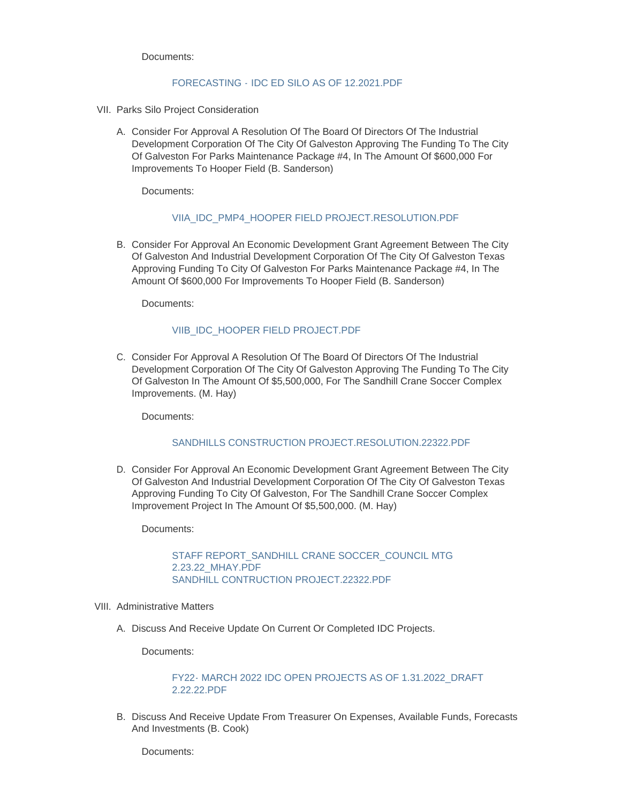Documents:

### FORECASTING - [IDC ED SILO AS OF 12.2021.PDF](https://www.galvestontx.gov/AgendaCenter/ViewFile/Item/13783?fileID=32215)

- VII. Parks Silo Project Consideration
	- Consider For Approval A Resolution Of The Board Of Directors Of The Industrial A. Development Corporation Of The City Of Galveston Approving The Funding To The City Of Galveston For Parks Maintenance Package #4, In The Amount Of \$600,000 For Improvements To Hooper Field (B. Sanderson)

Documents:

### [VIIA\\_IDC\\_PMP4\\_HOOPER FIELD PROJECT.RESOLUTION.PDF](https://www.galvestontx.gov/AgendaCenter/ViewFile/Item/13796?fileID=32221)

B. Consider For Approval An Economic Development Grant Agreement Between The City Of Galveston And Industrial Development Corporation Of The City Of Galveston Texas Approving Funding To City Of Galveston For Parks Maintenance Package #4, In The Amount Of \$600,000 For Improvements To Hooper Field (B. Sanderson)

Documents:

## [VIIB\\_IDC\\_HOOPER FIELD PROJECT.PDF](https://www.galvestontx.gov/AgendaCenter/ViewFile/Item/13797?fileID=32222)

C. Consider For Approval A Resolution Of The Board Of Directors Of The Industrial Development Corporation Of The City Of Galveston Approving The Funding To The City Of Galveston In The Amount Of \$5,500,000, For The Sandhill Crane Soccer Complex Improvements. (M. Hay)

Documents:

### [SANDHILLS CONSTRUCTION PROJECT.RESOLUTION.22322.PDF](https://www.galvestontx.gov/AgendaCenter/ViewFile/Item/13798?fileID=32226)

D. Consider For Approval An Economic Development Grant Agreement Between The City Of Galveston And Industrial Development Corporation Of The City Of Galveston Texas Approving Funding To City Of Galveston, For The Sandhill Crane Soccer Complex Improvement Project In The Amount Of \$5,500,000. (M. Hay)

Documents:

STAFF REPORT\_SANDHILL CRANE SOCCER\_COUNCIL MTG 2.23.22\_MHAY.PDF [SANDHILL CONTRUCTION PROJECT.22322.PDF](https://www.galvestontx.gov/AgendaCenter/ViewFile/Item/13799?fileID=32227)

- VIII. Administrative Matters
	- A. Discuss And Receive Update On Current Or Completed IDC Projects.

Documents:

[FY22- MARCH 2022 IDC OPEN PROJECTS AS OF 1.31.2022\\_DRAFT](https://www.galvestontx.gov/AgendaCenter/ViewFile/Item/13787?fileID=32224)  2.22.22.PDF

B. Discuss And Receive Update From Treasurer On Expenses, Available Funds, Forecasts And Investments (B. Cook)

Documents: